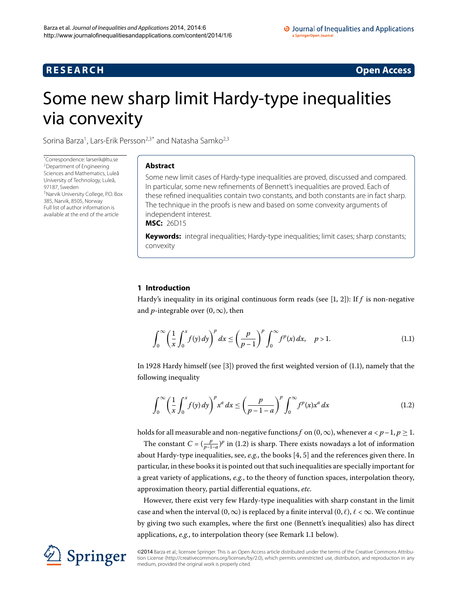# **R E S E A R C H Open Access**

# <span id="page-0-0"></span>Some new sharp limit Hardy-type inequalities via convexity

Sorina Barza<sup>[1](#page-8-0)</sup>, Lars-Erik Persson<sup>[2](#page-8-1),[3](#page-8-2)[\\*](#page-0-0)</sup> and Natasha Samko<sup>2[,3](#page-8-2)</sup>

\* Correspondence: [larserik@ltu.se](mailto:larserik@ltu.se) [2](#page-8-1)Department of Engineering Sciences and Mathematics, Luleå University of Technology, Luleå, [9](#page-8-2)7187, Sweden 3Narvik University College, P.O. Box 385, Narvik, 8505, Norway Full list of author information is available at the end of the article

# **Abstract**

Some new limit cases of Hardy-type inequalities are proved, discussed and compared. In particular, some new refinements of Bennett's inequalities are proved. Each of these refined inequalities contain two constants, and both constants are in fact sharp. The technique in the proofs is new and based on some convexity arguments of independent interest.

**MSC:** 26D15

**Keywords:** integral inequalities; Hardy-type inequalities; limit cases; sharp constants; convexity

# **1 Introduction**

Hardy's inequality in its original continuous form reads (see  $[1, 2]$  $[1, 2]$  $[1, 2]$ ): If  $f$  is non-negative and *p*-integrable over  $(0, \infty)$ , then

<span id="page-0-2"></span><span id="page-0-1"></span>
$$
\int_0^\infty \left(\frac{1}{x}\int_0^x f(y) dy\right)^p dx \le \left(\frac{p}{p-1}\right)^p \int_0^\infty f^p(x) dx, \quad p > 1.
$$
 (1.1)

In 1928 Hardy himself (see [\[](#page-8-5)3]) proved the first weighted version of  $(1.1)$ , namely that the following inequality

$$
\int_0^\infty \left(\frac{1}{x}\int_0^x f(y) dy\right)^p x^a dx \le \left(\frac{p}{p-1-a}\right)^p \int_0^\infty f^p(x) x^a dx \tag{1.2}
$$

holds for all measurable and non-negative functions *f* on  $(0, \infty)$ , whenever  $a < p-1$ ,  $p \ge 1$ .

The constant  $C = (\frac{p}{p-1-a})^p$  in (1.2) is sharp. There exists nowadays a lot of information about Hardy-type inequalities, see, e.g., the books [4, 5] and the references given there. In particular, in these books it is pointed out that such inequalities are specially important for a great variety of applications, *e.g.*, to the theory of function spaces, interpolation theory, approximation theory, partial differential equations, *etc.*

However, there exist very few Hardy-type inequalities with sharp constant in the limit case and when the interval  $(0, \infty)$  is replaced by a finite interval  $(0, \ell)$ ,  $\ell < \infty$ . We continue by giving two such examples, where the first one (Bennett's inequalities) also has direct applications, *e[.](#page-1-0)g.*, to interpolation theory (see Remark 1.1 below).

©2014 Barza et al.; licensee Springer. This is an Open Access article distributed under the terms of the Creative Commons Attribution License ([http://creativecommons.org/licenses/by/2.0\)](http://creativecommons.org/licenses/by/2.0), which permits unrestricted use, distribution, and reproduction in any medium, provided the original work is properly cited.

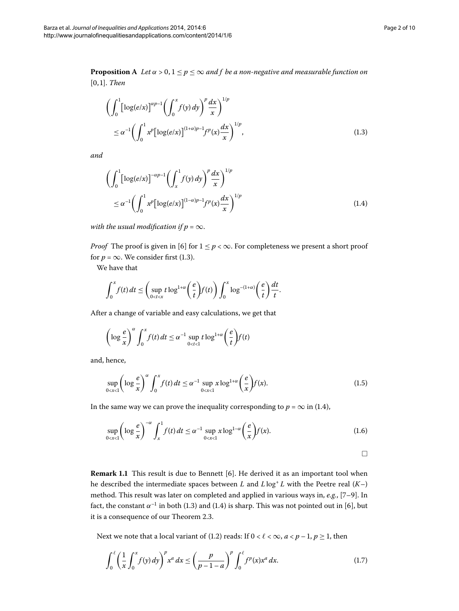<span id="page-1-3"></span>**Proposition A** *Let*  $\alpha > 0, 1 \le p \le \infty$  *and f be a non-negative and measurable function on* [0,1]. *Then* 

<span id="page-1-2"></span><span id="page-1-1"></span>
$$
\left(\int_0^1 \left[\log(e/x)\right]^{\alpha p-1} \left(\int_0^x f(y) \, dy\right)^p \frac{dx}{x}\right)^{1/p} \leq \alpha^{-1} \left(\int_0^1 x^p \left[\log(e/x)\right]^{(1+\alpha)p-1} f^p(x) \frac{dx}{x}\right)^{1/p},\tag{1.3}
$$

*and*

$$
\left(\int_0^1 \left[\log(e/x)\right]^{-\alpha p-1} \left(\int_x^1 f(y) \, dy\right)^p \frac{dx}{x}\right)^{1/p}
$$
\n
$$
\leq \alpha^{-1} \left(\int_0^1 x^p \left[\log(e/x)\right]^{(1-\alpha)p-1} f^p(x) \frac{dx}{x}\right)^{1/p} \tag{1.4}
$$

*with the usual modification if*  $p = \infty$ .

*Proof* The proof is given in [6] for  $1 \le p < \infty$ . For completeness we present a short proof for  $p = \infty$ [.](#page-1-1) We consider first (1.3).

We have that

$$
\int_0^x f(t) dt \le \left( \sup_{0 < t < x} t \log^{1+\alpha} \left( \frac{e}{t} \right) f(t) \right) \int_0^x \log^{-(1+\alpha)} \left( \frac{e}{t} \right) \frac{dt}{t}.
$$

After a change of variable and easy calculations, we get that

$$
\left(\log\frac{e}{x}\right)^{\alpha}\int_{0}^{x}f(t)dt\leq\alpha^{-1}\sup_{0
$$

and, hence,

$$
\sup_{0 < x < 1} \left( \log \frac{e}{x} \right)^{\alpha} \int_0^x f(t) dt \le \alpha^{-1} \sup_{0 < x < 1} x \log^{1+\alpha} \left( \frac{e}{x} \right) f(x).
$$
 (1.5)

<span id="page-1-0"></span>In the same way we can prove the inequality corresponding to  $p = \infty$  in (1.4),

$$
\sup_{0 < x < 1} \left( \log \frac{e}{x} \right)^{-\alpha} \int_x^1 f(t) \, dt \le \alpha^{-1} \sup_{0 < x < 1} x \log^{1-\alpha} \left( \frac{e}{x} \right) f(x). \tag{1.6}
$$

<span id="page-1-6"></span><span id="page-1-5"></span><span id="page-1-4"></span> $\Box$ 

**Remark 1.1** This result is due to Bennett [6]. He derived it as an important tool when he described the intermediate spaces between *L* and  $L \log^+ L$  with the Peetre real  $(K-)$ method. This result was later on completed and applied in various ways in, *e.g.*, [7-9]. In fact, the constant  $\alpha^{-1}$  in both (1.3) and (1.4) is sharp. This was not pointed out in [6], but it is a consequence of our Theorem 2[.](#page-3-0)3.

Next we note that a local variant of (1.2) reads: If  $0 < l < \infty$ ,  $a < p - 1$ ,  $p \ge 1$ , then

$$
\int_0^{\ell} \left( \frac{1}{x} \int_0^x f(y) \, dy \right)^p x^a \, dx \le \left( \frac{p}{p - 1 - a} \right)^p \int_0^{\ell} f^p(x) x^a \, dx. \tag{1.7}
$$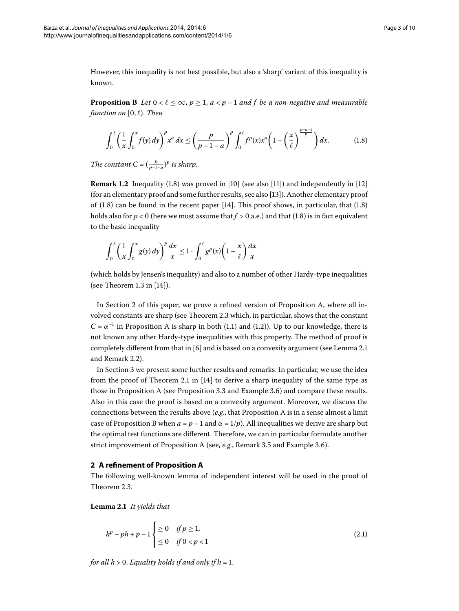<span id="page-2-3"></span>However, this inequality is not best possible, but also a 'sharp' variant of this inequality is known.

**Proposition B** Let  $0 < \ell \leq \infty$ ,  $p \geq 1$ ,  $a < p-1$  and f be a non-negative and measurable *function on* [, *-*). *Then*

<span id="page-2-0"></span>
$$
\int_0^\ell \left(\frac{1}{x} \int_0^x f(y) dy\right)^p x^a dx \le \left(\frac{p}{p-1-a}\right)^p \int_0^\ell f^p(x) x^a \left(1 - \left(\frac{x}{\ell}\right)^{\frac{p-a-1}{p}}\right) dx. \tag{1.8}
$$

*The constant*  $C = (\frac{p}{p-1-a})^p$  *is sharp.* 

**Remark 1.2** Inequality  $(1.8)$  was proved in  $[10]$  $[10]$  $[10]$  (see also  $[11]$ ) and independently in  $[12]$ (for an elementary proof and some further results, see also [13[\]](#page-9-4)). Another elementary proof of  $(1.8)$  $(1.8)$  $(1.8)$  can be found in the recent paper [\[](#page-9-5)14]. This proof shows, in particular, that  $(1.8)$ holds also for  $p < 0$  (here we must assume that  $f > 0$  a[.](#page-2-0)e.) and that (1.8) is in fact equivalent to the basic inequality

$$
\int_0^{\ell} \left(\frac{1}{x} \int_0^x g(y) dy\right)^p \frac{dx}{x} \le 1 \cdot \int_0^{\ell} g^p(x) \left(1 - \frac{x}{\ell}\right) \frac{dx}{x}
$$

(which holds by Jensen's inequality) and also to a number of other Hardy-type inequalities (see Theorem 1.3 in  $[14]$  $[14]$ ).

In Section 2 of this paper, we prove a refined version of Proposition [A](#page-1-3), where all in-volved constants are sharp (see Theorem 2[.](#page-3-0)3 which, in particular, shows that the constant  $C = \alpha^{-1}$  in Proposition [A](#page-1-3) is sharp in both (1[.](#page-0-1)1) and (1.2)). Up to our knowledge, there is not known any other Hardy-type inequalities with this property. The method of proof is completely different from that in  $[6]$  and is based on a convexity argument (see Lemma 2[.](#page-2-2)1) and Remark 2[.](#page-3-1)2).

<span id="page-2-1"></span>In Section 3 we present some further results and remarks. In particular, we use the idea from the proof of Theorem 2.1 in  $[14]$  $[14]$  to derive a sharp inequality of the same type as those in Proposition [A](#page-1-3) (see Proposition 3[.](#page-7-0)3 and Example 3.6) and compare these results. Also in this case the proof is based on a convexity argument. Moreover, we discuss the connections between the results above (*e.g.*, that Proposition [A](#page-1-3) is in a sense almost a limit case of Proposition [B](#page-2-3) when  $a = p - 1$  and  $\alpha = 1/p$ . All inequalities we derive are sharp but the optimal test functions are different. Therefore, we can in particular formulate another strict improvement of Proposition [A](#page-1-3) (see, *e[.](#page-7-1)g.*, Remark 3.5 and Example 3.6).

## <span id="page-2-2"></span>**2 A refinement of Proposition [A](#page-1-3)**

The following well-known lemma of independent interest will be used in the proof of Theorem 2.3.

**Lemma .** *It yields that*

<span id="page-2-4"></span>
$$
h^{p} - ph + p - 1 \begin{cases} \geq 0 & \text{if } p \geq 1, \\ \leq 0 & \text{if } 0 < p < 1 \end{cases}
$$
 (2.1)

*for all*  $h > 0$ *. Equality holds if and only if*  $h = 1$ .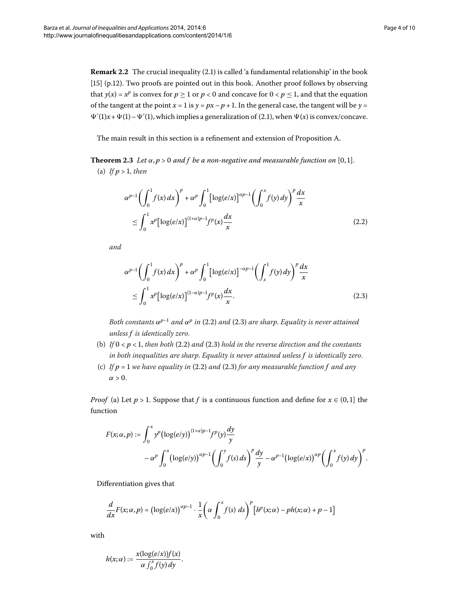<span id="page-3-1"></span><span id="page-3-0"></span>The main result in this section is a refinement and extension of Proposition [A](#page-1-3).

**Theorem 2.3** Let  $\alpha$ ,  $p > 0$  and f be a non-negative and measurable function on [0,1]. (a) If  $p > 1$ , then

<span id="page-3-2"></span>
$$
\alpha^{p-1} \left( \int_0^1 f(x) dx \right)^p + \alpha^p \int_0^1 \left[ \log(e/x) \right]^{\alpha p-1} \left( \int_0^x f(y) dy \right)^p \frac{dx}{x}
$$
  

$$
\leq \int_0^1 x^p \left[ \log(e/x) \right]^{(1+\alpha)p-1} f^p(x) \frac{dx}{x}
$$
 (2.2)

*and*

<span id="page-3-3"></span>
$$
\alpha^{p-1} \left( \int_0^1 f(x) dx \right)^p + \alpha^p \int_0^1 \left[ \log(e/x) \right]^{-\alpha p-1} \left( \int_x^1 f(y) dy \right)^p \frac{dx}{x}
$$
  
\n
$$
\leq \int_0^1 x^p \left[ \log(e/x) \right]^{(1-\alpha)p-1} f^p(x) \frac{dx}{x}.
$$
\n(2.3)

*Both constants*  $α^{p-1}$  *and*  $α^p$  *in* (2[.](#page-3-3)2) *and* (2.3) *are sharp. Equality is never attained unless f is identically zero*.

- (b) If  $0 < p < 1$ , then both (2[.](#page-3-3)2) and (2.3) hold in the reverse direction and the constants *in both inequalities are sharp*. *Equality is never attained unless f is identically zero*.
- (c) If  $p = 1$  we have equality in (2.2) and (2.3) for any measurable function  $f$  and any  $\alpha > 0$ .

*Proof* (a) Let  $p > 1$ . Suppose that *f* is a continuous function and define for  $x \in (0,1]$  the function

$$
F(x; \alpha, p) := \int_0^x y^p (\log(e/y))^{(1+\alpha)p-1} f^p(y) \frac{dy}{y}
$$
  
-  $\alpha^p \int_0^x (\log(e/y))^{ \alpha p-1} (\int_0^y f(s) ds)^p \frac{dy}{y} - \alpha^{p-1} (\log(e/x))^{ \alpha p} (\int_0^x f(y) dy)^p$ .

Differentiation gives that

$$
\frac{d}{dx}F(x;\alpha,p) = (\log(e/x))^{\alpha p-1} \cdot \frac{1}{x} \left(\alpha \int_0^x f(s) \, ds\right)^p \left[h^p(x;\alpha) - ph(x;\alpha) + p - 1\right]
$$

with

$$
h(x;\alpha) := \frac{x(\log(e/x))f(x)}{\alpha \int_0^x f(y) dy}.
$$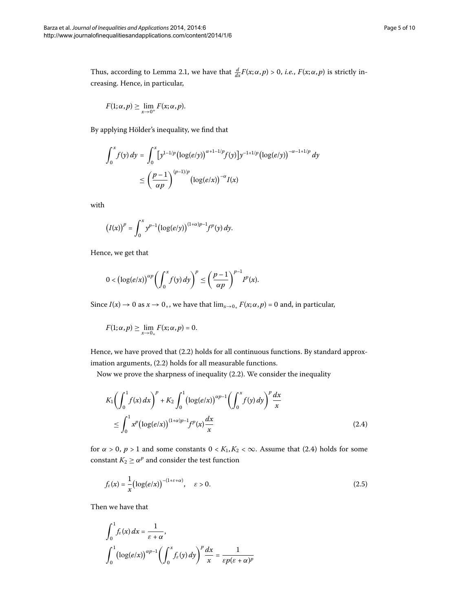Thus, according to Lemma 2[.](#page-2-2)1, we have that  $\frac{d}{dx}F(x;\alpha,p) > 0$ , *i.e.*,  $F(x;\alpha,p)$  is strictly increasing. Hence, in particular,

$$
F(1;\alpha,p) \geq \lim_{x\to 0^+} F(x;\alpha,p).
$$

By applying Hölder's inequality, we find that

$$
\int_0^x f(y) \, dy = \int_0^x \left[ y^{1-1/p} \left( \log(e/y) \right)^{\alpha+1-1/p} f(y) \right] y^{-1+1/p} \left( \log(e/y) \right)^{-\alpha-1+1/p} dy
$$
\n
$$
\leq \left( \frac{p-1}{\alpha p} \right)^{(p-1)/p} \left( \log(e/x) \right)^{-\alpha} I(x)
$$

with

$$
(I(x))^{p} = \int_0^x y^{p-1} (\log(e/y))^{(1+\alpha)p-1} f^p(y) dy.
$$

Hence, we get that

$$
0<(\log(e/x))^{ \alpha p}\bigg(\int_0^x f(y)\,dy\bigg)^p\leq \bigg(\frac{p-1}{\alpha p}\bigg)^{p-1}I^p(x).
$$

Since  $I(x) \to 0$  as  $x \to 0_+$ , we have that  $\lim_{x \to 0_+} F(x; \alpha, p) = 0$  and, in particular,

<span id="page-4-0"></span>
$$
F(1;\alpha,p) \geq \lim_{x\to 0_+} F(x;\alpha,p) = 0.
$$

Hence, we have proved that  $(2.2)$  holds for all continuous functions. By standard approximation arguments,  $(2.2)$  holds for all measurable functions.

Now we prove the sharpness of inequality  $(2.2)$ . We consider the inequality

<span id="page-4-1"></span>
$$
K_1 \left( \int_0^1 f(x) dx \right)^p + K_2 \int_0^1 \left( \log(e/x) \right)^{\alpha p - 1} \left( \int_0^x f(y) dy \right)^p \frac{dx}{x}
$$
  

$$
\leq \int_0^1 x^p \left( \log(e/x) \right)^{(1+\alpha)p - 1} f^p(x) \frac{dx}{x}
$$
 (2.4)

for  $\alpha > 0$ ,  $p > 1$  and some constants  $0 < K_1, K_2 < \infty$ [.](#page-4-0) Assume that (2.4) holds for some constant  $K_2 \ge \alpha^p$  and consider the test function

$$
f_{\varepsilon}(x) = \frac{1}{x} \left( \log(e/x) \right)^{-(1+\varepsilon+\alpha)}, \quad \varepsilon > 0. \tag{2.5}
$$

Then we have that

$$
\int_0^1 f_{\varepsilon}(x) dx = \frac{1}{\varepsilon + \alpha},
$$
  

$$
\int_0^1 (\log(e/x))^{(\alpha p - 1)} \left( \int_0^x f_{\varepsilon}(y) dy \right)^p \frac{dx}{x} = \frac{1}{\varepsilon p(\varepsilon + \alpha)^p}
$$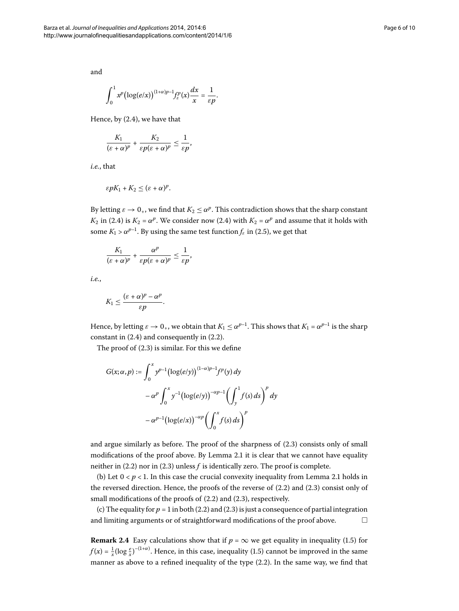and

$$
\int_0^1 x^p \bigl(\log(e/x)\bigr)^{(1+\alpha)p-1} f^p_{\varepsilon}(x) \frac{dx}{x} = \frac{1}{\varepsilon p}.
$$

Hence, by  $(2.4)$ , we have that

$$
\frac{K_1}{(\varepsilon+\alpha)^p}+\frac{K_2}{\varepsilon p(\varepsilon+\alpha)^p}\leq \frac{1}{\varepsilon p},
$$

*i.e.*, that

$$
\varepsilon pK_1+K_2\leq (\varepsilon+\alpha)^p.
$$

By letting  $\varepsilon \to 0_+$ , we find that  $K_2 \leq \alpha^p$ . This contradiction shows that the sharp constant *K*<sub>2</sub> in (2.4) is *K*<sub>2</sub> =  $\alpha^p$ . We consider now (2.4) with *K*<sub>2</sub> =  $\alpha^p$  and assume that it holds with some  $K_1 > \alpha^{p-1}$ . By using the same test function  $f_{\varepsilon}$  in (2.5), we get that

$$
\frac{K_1}{(\varepsilon+\alpha)^p}+\frac{\alpha^p}{\varepsilon p(\varepsilon+\alpha)^p}\leq \frac{1}{\varepsilon p},
$$

*i.e.*,

$$
K_1 \leq \frac{(\varepsilon + \alpha)^p - \alpha^p}{\varepsilon p}.
$$

Hence, by letting  $\varepsilon \to 0_+$ , we obtain that  $K_1 \leq \alpha^{p-1}$ . This shows that  $K_1 = \alpha^{p-1}$  is the sharp constant in  $(2.4)$  and consequently in  $(2.2)$ .

The proof of  $(2.3)$  $(2.3)$  $(2.3)$  is similar. For this we define

$$
G(x; \alpha, p) := \int_0^x y^{p-1} (\log(e/y))^{(1-\alpha)p-1} f^p(y) dy
$$
  

$$
- \alpha^p \int_0^x y^{-1} (\log(e/y))^{-\alpha p-1} \left( \int_y^1 f(s) ds \right)^p dy
$$
  

$$
- \alpha^{p-1} (\log(e/x))^{-\alpha p} \left( \int_0^x f(s) ds \right)^p
$$

and argue similarly as before. The proof of the sharpness of  $(2.3)$  consists only of small modifications of the proof above[.](#page-2-2) By Lemma 2.1 it is clear that we cannot have equality neither in  $(2.2)$  nor in  $(2.3)$  unless  $f$  is identically zero. The proof is complete.

(b) Let  $0 < p < 1$ [.](#page-2-2) In this case the crucial convexity inequality from Lemma 2.1 holds in the reversed direction[.](#page-3-3) Hence, the proofs of the reverse of  $(2.2)$  and  $(2.3)$  consist only of small modifications of the proofs of  $(2.2)$  and  $(2.3)$ , respectively.

(c) The equality for  $p = 1$  in both (2.2) and (2.3) is just a consequence of partial integration and limiting arguments or of straightforward modifications of the proof above.  $\Box$ 

**Remark 2.4** Easy calculations show that if  $p = \infty$  we get equality in inequality (1.5) for  $f(x) = \frac{1}{x} (\log \frac{e}{x})^{-(1+\alpha)}$ . Hence, in this case, inequality (1.5) cannot be improved in the same manner as above to a refined inequality of the type  $(2.2)$ . In the same way, we find that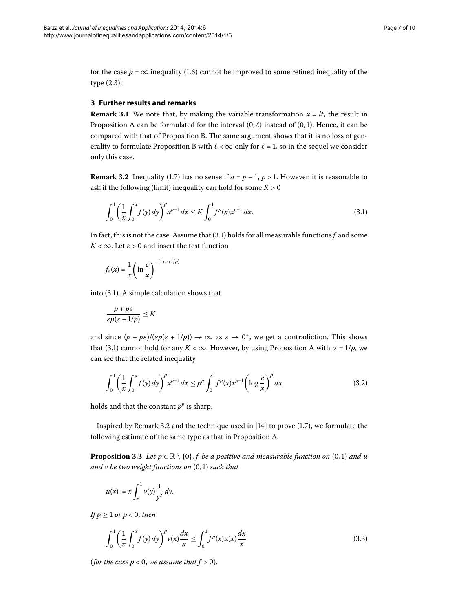<span id="page-6-0"></span>for the case  $p = \infty$  inequality (1.6) cannot be improved to some refined inequality of the type  $(2.3)$ .

## <span id="page-6-3"></span>**3 Further results and remarks**

**Remark 3.1** We note that, by making the variable transformation  $x = lt$ , the result in Proposition [A](#page-1-3) can be formulated for the interval  $(0, \ell)$  instead of  $(0, 1)$ . Hence, it can be compared with that of Proposition [B](#page-2-3). The same argument shows that it is no loss of gen-erality to formulate Proposition [B](#page-2-3) with  $\ell < \infty$  only for  $\ell = 1$ , so in the sequel we consider only this case.

**Remark 3.2** Inequality (1.7) has no sense if  $a = p - 1$ ,  $p > 1$ . However, it is reasonable to ask if the following (limit) inequality can hold for some  $K > 0$ 

<span id="page-6-2"></span>
$$
\int_0^1 \left(\frac{1}{x} \int_0^x f(y) \, dy\right)^p x^{p-1} \, dx \le K \int_0^1 f^p(x) x^{p-1} \, dx. \tag{3.1}
$$

In fact, this is not the case. Assume that  $(3.1)$  holds for all measurable functions f and some  $K < \infty$ . Let  $\varepsilon > 0$  and insert the test function

$$
f_{\varepsilon}(x) = \frac{1}{x} \left( \ln \frac{e}{x} \right)^{-(1+\varepsilon+1/p)}
$$

into  $(3.1)$ . A simple calculation shows that

<span id="page-6-5"></span>
$$
\frac{p+p\varepsilon}{\varepsilon p(\varepsilon+1/p)} \le K
$$

and since  $(p + p\epsilon)/( \epsilon p(\epsilon + 1/p)) \rightarrow \infty$  as  $\epsilon \rightarrow 0^+$ , we get a contradiction. This shows that (3.1) cannot hold for any  $K < \infty$ . However, by using Proposition [A](#page-1-3) with  $\alpha = 1/p$ , we can see that the related inequality

<span id="page-6-1"></span>
$$
\int_0^1 \left(\frac{1}{x} \int_0^x f(y) \, dy\right)^p x^{p-1} \, dx \le p^p \int_0^1 f^p(x) x^{p-1} \left(\log \frac{e}{x}\right)^p \, dx \tag{3.2}
$$

holds and that the constant  $p^p$  is sharp.

Inspired by Remark 3[.](#page-1-6)2 and the technique used in  $[14]$  to prove (1.7), we formulate the following estimate of the same type as that in Proposition [A.](#page-1-3)

**Proposition 3.3** Let  $p \in \mathbb{R} \setminus \{0\}$ , *f be a positive and measurable function on*  $(0,1)$  *and u and v be two weight functions on*  $(0, 1)$  *such that* 

<span id="page-6-4"></span>
$$
u(x) := x \int_x^1 v(y) \frac{1}{y^2} dy.
$$

*If*  $p \ge 1$  *or*  $p < 0$ *, then* 

$$
\int_0^1 \left(\frac{1}{x} \int_0^x f(y) \, dy\right)^p v(x) \frac{dx}{x} \le \int_0^1 f^p(x) u(x) \frac{dx}{x} \tag{3.3}
$$

(*for the case*  $p < 0$ *, we assume that*  $f > 0$ ).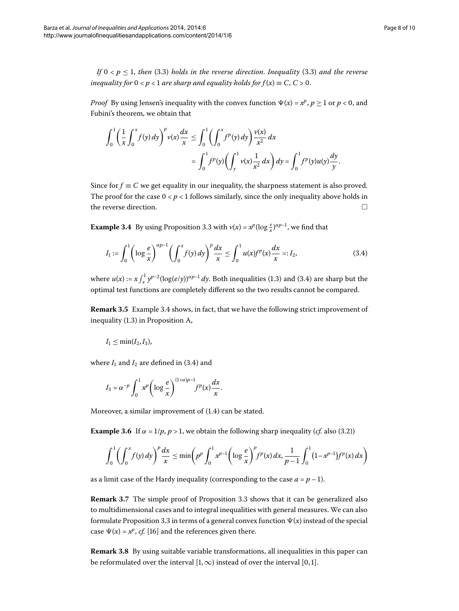*If*  $0 \le p \le 1$ , then (3.3) holds in the reverse direction. Inequality (3.3) and the reverse *inequality for*  $0 < p < 1$  *are sharp and equality holds for*  $f(x) \equiv C, C > 0$ .

*Proof* By using Jensen's inequality with the convex function  $\Psi(x) = x^p$ ,  $p \ge 1$  or  $p < 0$ , and Fubini's theorem, we obtain that

<span id="page-7-2"></span>
$$
\int_0^1 \left(\frac{1}{x} \int_0^x f(y) \, dy\right)^p v(x) \frac{dx}{x} \le \int_0^1 \left(\int_0^x f^p(y) \, dy\right) \frac{v(x)}{x^2} \, dx
$$
\n
$$
= \int_0^1 f^p(y) \left(\int_y^1 v(x) \frac{1}{x^2} \, dx\right) dy = \int_0^1 f^p(y) u(y) \frac{dy}{y}.
$$

<span id="page-7-3"></span>Since for  $f \equiv C$  we get equality in our inequality, the sharpness statement is also proved. The proof for the case  $0 < p < 1$  follows similarly, since the only inequality above holds in the reverse direction.

<span id="page-7-1"></span>**Example 3[.](#page-6-1)4** By using Proposition 3.3 with  $v(x) = x^p(\log \frac{e}{x})^{\alpha p-1}$ , we find that

$$
I_1 := \int_0^1 \left( \log \frac{e}{x} \right)^{\alpha p - 1} \left( \int_0^x f(y) \, dy \right)^p \frac{dx}{x} \le \int_0^1 u(x) f^p(x) \frac{dx}{x} =: I_2,\tag{3.4}
$$

where  $u(x) := x \int_x^1 y^{p-2} (\log(e/y))^{\alpha p-1} dy$ . Both inequalities (1.3) and (3.4) are sharp but the optimal test functions are completely different so the two results cannot be compared.

**Remark 3[.](#page-7-3)5** Example 3.4 shows, in fact, that we have the following strict improvement of inequality (1[.](#page-1-1)3) in Proposition [A,](#page-1-3)

$$
I_1\leq \min(I_2,I_3),
$$

<span id="page-7-0"></span>where  $I_1$  and  $I_2$  are defined in (3.4) and

$$
I_3 = \alpha^{-p} \int_0^1 x^p \left( \log \frac{e}{x} \right)^{(1+\alpha)p-1} f^p(x) \frac{dx}{x}.
$$

Moreover, a similar improvement of  $(1.4)$  can be stated.

**Example 3.6** If  $\alpha = 1/p$ ,  $p > 1$ , we obtain the following sharp inequality (*cf.* also (3.2))

$$
\int_0^1 \left( \int_0^x f(y) \, dy \right)^p \frac{dx}{x} \le \min \left( p^p \int_0^1 x^{p-1} \left( \log \frac{e}{x} \right)^p f^p(x) \, dx, \frac{1}{p-1} \int_0^1 (1-x^{p-1}) f^p(x) \, dx \right)
$$

as a limit case of the Hardy inequality (corresponding to the case  $a = p - 1$ ).

**Remark 3[.](#page-6-1)7** The simple proof of Proposition 3.3 shows that it can be generalized also to multidimensional cases and to integral inequalities with general measures. We can also formulate Proposition 3[.](#page-6-1)3 in terms of a general convex function  $\Psi(x)$  instead of the special case  $\Psi(x) = x^p$ , *cf.* [\[](#page-9-7)16] and the references given there.

**Remark 3.8** By using suitable variable transformations, all inequalities in this paper can be reformulated over the interval  $[1, \infty)$  instead of over the interval  $[0, 1]$ .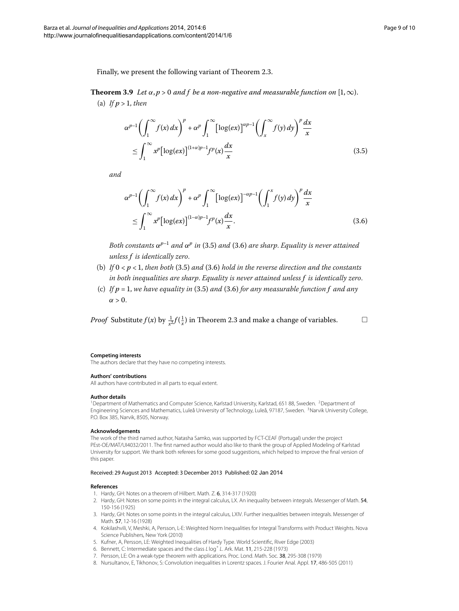Finally, we present the following variant of Theorem 2.3.

**Theorem 3.9** Let  $\alpha$ ,  $p > 0$  and f be a non-negative and measurable function on [1, $\infty$ ). (a) If  $p > 1$ , then

<span id="page-8-11"></span><span id="page-8-10"></span>
$$
\alpha^{p-1} \left( \int_1^\infty f(x) \, dx \right)^p + \alpha^p \int_1^\infty \left[ \log(ex) \right]^{\alpha p-1} \left( \int_x^\infty f(y) \, dy \right)^p \frac{dx}{x}
$$
\n
$$
\leq \int_1^\infty x^p \left[ \log(ex) \right]^{(1+\alpha)p-1} f^p(x) \frac{dx}{x} \tag{3.5}
$$

*and*

$$
\alpha^{p-1} \left( \int_1^\infty f(x) \, dx \right)^p + \alpha^p \int_1^\infty \left[ \log(ex) \right]^{-\alpha p-1} \left( \int_1^x f(y) \, dy \right)^p \frac{dx}{x}
$$
\n
$$
\leq \int_1^\infty x^p \left[ \log(ex) \right]^{(1-\alpha)p-1} f^p(x) \frac{dx}{x}.\tag{3.6}
$$

*Both constants*  $\alpha^{p-1}$  *and*  $\alpha^p$  *in* (3[.](#page-8-11)5) *and* (3.6) *are sharp. Equality is never attained unless f is identically zero*.

- (b) If  $0 < p < 1$ , then both (3[.](#page-8-11)5) and (3.6) hold in the reverse direction and the constants *in both inequalities are sharp*. *Equality is never attained unless f is identically zero*.
- <span id="page-8-2"></span><span id="page-8-1"></span>(c) If  $p = 1$ , we have equality in (3.5) and (3.6) for any measurable function  $f$  and any  $\alpha > 0$ .

<span id="page-8-0"></span>*Proof* Substitute  $f(x)$  by  $\frac{1}{x^2} f(\frac{1}{x})$  in Theorem 2[.](#page-3-0)3 and make a change of variables.  $\Box$ 

#### **Competing interests**

The authors declare that they have no competing interests.

#### **Authors' contributions**

All authors have contributed in all parts to equal extent.

#### **Author details**

<sup>1</sup> Department of Mathematics and Computer Science, Karlstad University, Karlstad, 651 88, Sweden. <sup>2</sup> Department of Engineering Sciences and Mathematics, Luleå University of Technology, Luleå, 97187, Sweden. <sup>3</sup>Narvik University College, P.O. Box 385, Narvik, 8505, Norway.

#### <span id="page-8-4"></span><span id="page-8-3"></span>**Acknowledgements**

<span id="page-8-5"></span>The work of the third named author, Natasha Samko, was supported by FCT-CEAF (Portugal) under the project PEst-OE/MAT/UI4032/2011. The first named author would also like to thank the group of Applied Modeling of Karlstad University for support. We thank both referees for some good suggestions, which helped to improve the final version of this paper.

### <span id="page-8-8"></span><span id="page-8-7"></span><span id="page-8-6"></span>Received: 29 August 2013 Accepted: 3 December 2013 Published: 02 Jan 2014

#### <span id="page-8-9"></span>**References**

- 1. Hardy, GH: Notes on a theorem of Hilbert. Math. Z. 6, 314-317 (1920)
- 2. Hardy, GH: Notes on some points in the integral calculus, LX. An inequality between integrals. Messenger of Math. 54, 150-156 (1925)
- 3. Hardy, GH: Notes on some points in the integral calculus, LXIV. Further inequalities between integrals. Messenger of Math. 57, 12-16 (1928)
- 4. Kokilashvili, V, Meshki, A, Persson, L-E: Weighted Norm Inequalities for Integral Transforms with Product Weights. Nova Science Publishers, New York (2010)
- 5. Kufner, A, Persson, LE: Weighted Inequalities of Hardy Type. World Scientific, River Edge (2003)
- 6. Bennett, C: Intermediate spaces and the class Llog<sup>+</sup> L. Ark. Mat. 11, 215-228 (1973)
- 7. Persson, LE: On a weak-type theorem with applications. Proc. Lond. Math. Soc. 38, 295-308 (1979)
- 8. Nursultanov, E, Tikhonov, S: Convolution inequalities in Lorentz spaces. J. Fourier Anal. Appl. 17, 486-505 (2011)